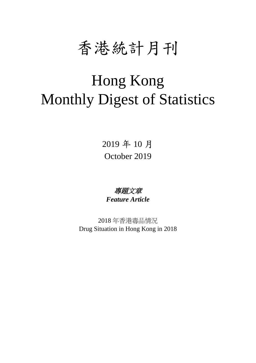

# Hong Kong Monthly Digest of Statistics

2019 年 10 月 October 2019

專題文章 *Feature Article*

2018 年香港毒品情況 Drug Situation in Hong Kong in 2018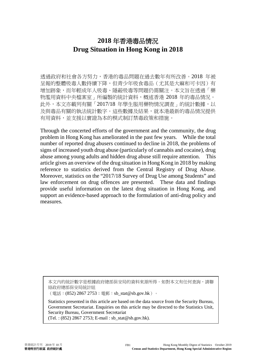## **2018** 年香港毒品情況 **Drug Situation in Hong Kong in 2018**

透過政府和社會各方努力,香港的毒品問題在過去數年有所改善。2018 年被 呈報的整體吸毒人數持續下降,但青少年吸食毒品(尤其是大麻和可卡因)有 增加跡象,而年輕成年人吸毒、隱蔽吸毒等問題仍需關注。本文旨在透過「藥 物濫用資料中央檔案室」所編製的統計資料,概述香港 2018 年的毒品情況。 此外,本文亦載列有關「2017/18年學生服用藥物情況調查」的統計數據,以 及與毒品有關的執法統計數字。這些數據及結果,就本港最新的毒品情況提供 有用資料,並支援以實證為本的模式制訂禁毒政策和措施。

Through the concerted efforts of the government and the community, the drug problem in Hong Kong has ameliorated in the past few years. While the total number of reported drug abusers continued to decline in 2018, the problems of signs of increased youth drug abuse (particularly of cannabis and cocaine), drug abuse among young adults and hidden drug abuse still require attention. This article gives an overview of the drug situation in Hong Kong in 2018 by making reference to statistics derived from the Central Registry of Drug Abuse. Moreover, statistics on the "2017/18 Survey of Drug Use among Students" and law enforcement on drug offences are presented. These data and findings provide useful information on the latest drug situation in Hong Kong, and support an evidence-based approach to the formulation of anti-drug policy and measures.

本文內的統計數字是根據政府總部保安局的資料來源所得。如對本文有任何查詢,請聯 絡政府總部保安局統計組

(電話:(852) 2867 2753;電郵:sb\_stat@sb.gov.hk)。

Statistics presented in this article are based on the data source from the Security Bureau, Government Secretariat. Enquiries on this article may be directed to the Statistics Unit, Security Bureau, Government Secretariat

(Tel. : (852) 2867 2753; E-mail : sb\_stat@sb.gov.hk).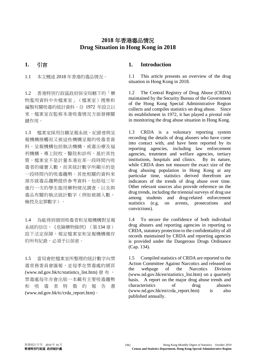### **2018** 年香港毒品情況 **Drug Situation in Hong Kong in 2018**

1.2 香港特別行政區政府保安局轄下的「藥 物濫用資料中央檔案室」(檔案室)搜集和 編製有關吸毒的統計資料。自 1972 年設立以 來,檔案室在監察本港吸毒情況方面發揮關 鍵作用。

1.3 檔案室採用自願呈報系統,紀錄曾與呈 報機構接觸而又被這些機構呈報的吸毒者資 料。呈報機構包括執法機構、戒毒治療及福 利機構、專上院校、醫院和診所。基於其性 質,檔案室不是計量本港在某一段時間內吸 毒者的確實人數,而其統計數字所顯示的是 一段時間內的吸毒趨勢。其他相關的資料來 源亦就毒品趨勢提供參考資料,包括每三年 進行一次的學生服用藥物情況調查,以及與 毒品有關的執法統計數字(例如被捕人數、 檢控及定罪數字)。

1.4 為能得到個別吸毒者和呈報機構對呈報 系統的信任,《危險藥物條例》(第134 章) 設下法定保障,規定檔案室和呈報機構備存 的所有紀錄,必須予以保密。

1.5 當局會把檔案室所整理的統計數字向禁 毒常務委員會匯報,並每季在禁毒處的網頁 (www.nd.gov.hk/tc/statistics\_list.htm) 發 布 , 禁毒處每年亦會出版一本載有主要吸毒趨勢 和 吸 毒 者特徵的報告書 (www.nd.gov.hk/tc/crda\_report.htm)。

### **1.** 引言 **1. Introduction**

1.1 本文概述 2018 年香港的毒品情況。 1.1 This article presents an overview of the drug situation in Hong Kong in 2018.

> 1.2 The Central Registry of Drug Abuse (CRDA) maintained by the Security Bureau of the Government of the Hong Kong Special Administrative Region collects and compiles statistics on drug abuse. Since its establishment in 1972, it has played a pivotal role in monitoring the drug abuse situation in Hong Kong.

> 1.3 CRDA is a voluntary reporting system recording the details of drug abusers who have come into contact with, and have been reported by its reporting agencies, including law enforcement agencies, treatment and welfare agencies, tertiary institutions, hospitals and clinics. By its nature, while CRDA does not measure the exact size of the drug abusing population in Hong Kong at any particular time, statistics derived therefrom are indicators of the trends of drug abuse over time. Other relevant sources also provide reference on the drug trends, including the triennial surveys of drug use among students and drug-related enforcement statistics (e.g. on arrests, prosecutions and convictions).

> 1.4 To secure the confidence of both individual drug abusers and reporting agencies in reporting to CRDA, statutory protection to the confidentiality of all records maintained by CRDA and reporting agencies is provided under the Dangerous Drugs Ordinance (Cap. 134).

> 1.5 Compiled statistics of CRDA are reported to the Action Committee Against Narcotics and released on the webpage of the Narcotics Division (www.nd.gov.hk/en/statistics\_list.htm) on a quarterly basis. A report on the major drug abuse trends and characteristics of drug abusers  $(www.nd.gov.hk/en/crda report.htm)$  is also published annually.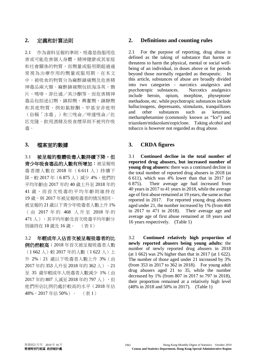2.1 作為資料呈報的準則,吸毒是指服用危 害或可能危害個人身體、精神健康或其家庭 和社會關係的物質,而劑量或服用期超過通 常視為治療作用的劑量或服用期。在本文 中,被吸食的物質分為麻醉鎮痛劑及危害精 神毒品兩大類。麻醉鎮痛劑包括海洛英、鴉 片、嗎啡、菲仕通/美沙酮等。而危害精神 毒品包括迷幻劑、鎮抑劑、興奮劑、鎮靜劑 和其他物質,例如氯胺酮、甲基安非他明 (俗稱「冰毒」)和三唑侖/咪達唑侖/佐 匹克隆。飲用酒精及吸食煙草則不被列作吸 毒。

3.1 被呈報的整體吸毒人數持續下降,但 青少年吸食毒品的人數有所增加:被呈報吸 毒者總人數在 2018 年(6 611 人)持續下 降,較 2017年(6875人)減少 4%。他們的 平均年齡由 2017 年的 40 歲上升至 2018 年的 41 歲,而首次吸毒的平均年齡則維持在 19歳,與 2017年被呈報吸毒者的情況相同。 被呈報的 21歲以下青少年吸毒者人數上升 1% ( 由 2017 年 的 468 人升至 2018 年 的 471 人),其平均年齡及首次吸毒平均年齡分 別維持在 18 歲及 16 歲。 (表 1)

3.2 年輕成年人佔首次被呈報吸毒者的比 例仍然較高:2018 年首次被呈報吸毒者人數 (1662人)較 2017年的人數(1622人)上 升 2%;21 歳以下吸毒者人數上升 3% (由 2017 年的 353 人升至 2018 年的 362 人)。21 至 35 歲年輕成年人吸毒者人數減少 1%(由 2017年的 807 人減至 2018年的 797 人),但 他們所佔比例仍處於較高的水平(2018 年佔 48%,2017 年佔 50%)。 (表 1)

#### **2.** 定義和計算法則 **2. Definitions and counting rules**

2.1 For the purpose of reporting, drug abuse is defined as the taking of substance that harms or threatens to harm the physical, mental or social wellbeing of an individual, in doses above or for periods beyond those normally regarded as therapeutic. In this article, substances of abuse are broadly divided into two categories - narcotics analgesics and psychotropic substances. Narcotics analgesics include heroin, opium, morphine, physeptone/ methadone, etc. while psychotropic substances include hallucinogens, depressants, stimulants, tranquillizers<br>and other substances such as ketamine. and other substances such as ketamine, methamphetamine (commonly known as "Ice") and triazolam/midazolam/zopiclone. Taking alcohol and tobacco is however not regarded as drug abuse.

### **3.** 檔案室的數據 **3. CRDA figures**

3.1 **Continued decline in the total number of reported drug abusers, but increased number of young drug abusers:** there was a continued decline in the total number of reported drug abusers in 2018 (at 6 611), which was 4% lower than that in 2017 (at 6 875). Their average age had increased from 40 years in 2017 to 41 years in 2018, while the average age of first abuse remained at 19 years, the same as that reported in 2017. For reported young drug abusers aged under 21, the number increased by 1% (from 468 in 2017 to 471 in 2018). Their average age and average age of first abuse remained at 18 years and 16 years respectively. (Table 1)

3.2 **Continued relatively high proportion of newly reported abusers being young adults:** the number of newly reported drug abusers in 2018 (at 1 662) was 2% higher than that in 2017 (at 1 622). The number of those aged under 21 increased by 3% (from 353 in 2017 to 362 in 2018). For young adult drug abusers aged 21 to 35, while the number decreased by 1% (from 807 in 2017 to 797 in 2018), their proportion remained at a relatively high level (48% in 2018 and 50% in 2017). (Table 1)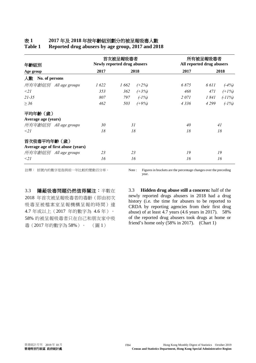### 表 **1 2017** 年及 **2018** 年按年齡組別劃分的被呈報吸毒人數

| 年齡組別<br>Age group                  | 首次被呈報吸毒者<br><b>Newly reported drug abusers</b> |                 | 所有被呈報吸毒者<br>All reported drug abusers |                    |
|------------------------------------|------------------------------------------------|-----------------|---------------------------------------|--------------------|
|                                    | 2017                                           | 2018            | 2017                                  | 2018               |
| 人數<br>No. of persons               |                                                |                 |                                       |                    |
| 所有年齡組別 All age groups              | 1622                                           | 1662<br>$(+2%)$ | 6875                                  | 6 611<br>$(-4%)$   |
| $\leq$ 21                          | 353                                            | 362<br>$(+3%)$  | 468                                   | 471<br>$(+1%)$     |
| $21 - 35$                          | 807                                            | 797<br>$(-1%)$  | 2071                                  | 1841<br>$( -11\%)$ |
| $\geq 36$                          | 462                                            | $(+9%)$<br>503  | 4 3 3 6                               | $(-1%)$<br>4 2 9 9 |
| 平均年齡(歲)                            |                                                |                 |                                       |                    |
| Average age (years)                |                                                |                 |                                       |                    |
| 所有年齡組別 All age groups              | 30                                             | 31              | 40                                    | 41                 |
| $\leq$ 21                          | 18                                             | 18              | 18                                    | 18                 |
| 首次吸毒平均年齡(歲)                        |                                                |                 |                                       |                    |
| Average age of first abuse (years) |                                                |                 |                                       |                    |
| 所有年齡組別 All age groups              | 23                                             | 23              | 19                                    | 19                 |
| $\leq$ 21                          | 16                                             | 16              | 16                                    | 16                 |

**Table 1 Reported drug abusers by age group, 2017 and 2018** 

註釋: 括號內的數字是指與前一年比較的變動百分率。 Note : Figuresin brackets are the percentage changes over the preceding year.

3.3 隱蔽吸毒問題仍然值得關注:半數在 2018 年首次被呈報吸毒者的毒齡(即由初次 吸毒至被檔案室呈報機構呈報的時間)達 4.7 年或以上(2017 年的數字為 4.6 年)。 58% 的被呈報吸毒者只在自己和朋友家中吸 毒(2017 年的數字為 58%)。 (圖 1)

3.3 **Hidden drug abuse still a concern:** half of the newly reported drugs abusers in 2018 had a drug history (i.e. the time for abusers to be reported to CRDA by reporting agencies from their first drug abuse) of at least 4.7 years (4.6 years in 2017). 58% of the reported drug abusers took drugs at home or friend's home only (58% in 2017). (Chart 1)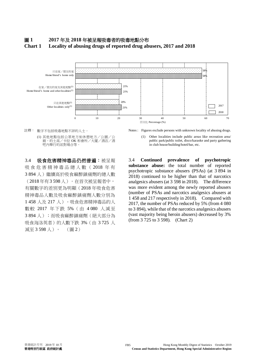### 圖 **1 2017** 年及 **2018** 年被呈報吸毒者的吸毒地點分布 **Chart 1 Locality of abusing drugs of reported drug abusers, 2017 and 2018**



(1) 其他地點包括公眾地方如休憩地方/公園/公 廁、的士高/卡拉 OK 和會所/大廈/酒店/酒 吧內舉行的派對場合等。

3.4 吸食危害精神毒品仍然普遍:被呈報 吸食危害精神毒品總人數( 2018 年 有 3 894 人)繼續高於吸食麻醉鎮痛劑的總人數 (2018 年有3 598 人)。在首次被呈報者中, 有關數字的差別更為明顯(2018 年吸食危害 精神毒品人數及吸食麻醉鎮痛劑人數分別為 1 458 人及 217 人)。吸食危害精神毒品的人 數較 2017 年下跌 5%(由 4 080 人減至 3 894 人);而吸食麻醉鎮痛劑(絕大部分為 吸食海洛英者)的人數下跌 3% (由 3 725 人 減至 3 598 人)。 (圖 2)

註釋: 數字不包括吸毒地點不詳的人士。 <br>Notes: Figures exclude persons with unknown locality of abusing drugs.

(1) Other localities include public areas like recreation area/ public park/public toilet, disco/karaoke and party gathering in club house/building/hotel/bar, etc.

3.4 **Continued prevalence of psychotropic substance abuse:** the total number of reported psychotropic substance abusers (PSAs) (at 3 894 in 2018) continued to be higher than that of narcotics analgesics abusers (at 3 598 in 2018). The difference was more evident among the newly reported abusers (number of PSAs and narcotics analgesics abusers at 1 458 and 217 respectively in 2018). Compared with 2017, the number of PSAs reduced by 5% (from 4 080 to 3 894), while that of the narcotics analgesics abusers (vast majority being heroin abusers) decreased by 3% (from 3 725 to 3 598). (Chart 2)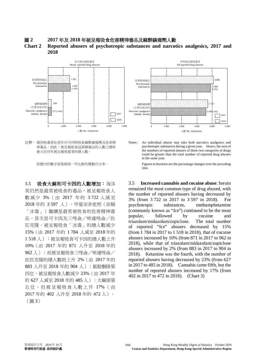圖 **2 2017** 年及 **2018** 年被呈報吸食危害精神毒品及麻醉鎮痛劑人數

**Chart 2 Reported abusers of psychotropic substances and narcotics analgesics, 2017 and 2018** 



註釋: 個別吸毒者在某年內可同時吸食麻醉鎮痛劑及危害精 神毒品。因此,被呈報吸食這兩類毒品的人數之總和 會大於同年被呈報吸毒者的總人數。

3.5 吸食大麻和可卡因的人數增加:海洛 英仍然是最常被吸食的毒品,被呈報吸食人 數減少 3%(由 2017 年的 3 722 人減至 2018 年的 3 597 人)。甲基安非他明(俗稱 「冰毒」)繼續是最常被吸食的危害精神毒 品,其次是可卡因及三唑侖/咪達唑侖/佐 匹克隆。被呈報吸食「冰毒」的總人數減少 15%(由 2017 年的 1 784 人減至 2018 年的 1 518 人);被呈報吸食可卡因的總人數上升 10%(由 2017 年的 871 人升至 2018 年的 962 人);而被呈報吸食三唑侖/咪達唑侖/ 佐匹克隆的總人數則上升 2%(由 2017 年的 883 人升至 2018 年的 904 人);氯胺酮排第 四位,被呈報吸食人數減少 23%(由 2017 年 的 627 人減至 2018 年的 485 人);大麻排第 五位,但被呈報吸食人數上升 17%(由 2017 年的 402 人升至 2018 年的 472 人)。 (圖 3)



Notes : An individual abuser may take both narcotics analgesics and psychotropic substances during a given year. Hence, the sum of the numbers of reported abusers of these two categories of drugs could be greater than the total number of reported drug abusers in the same year.

括號內的數字是指與前一年比較的變動百分率。 Figures in brackets are the percentage changes over the preceding year.

> 3.5 **Increased cannabis and cocaine abuse**: heroin remained the most common type of drug abused, with the number of reported abusers having decreased by 3% (from 3 722 in 2017 to 3 597 in 2018). For psychotropic substances, methamphetamine (commonly known as "Ice") continued to be the most popular, followed by cocaine and triazolam/midazolam/zopiclone. The total number of reported "Ice" abusers decreased by 15% (from 1 784 in 2017 to 1 518 in 2018), that of cocaine abusers increased by 10% (from 871 in 2017 to 962 in 2018), while that of triazolam/midazolam/zopiclone abusers increased by 2% (from 883 in 2017 to 904 in 2018). Ketamine was the fourth, with the number of reported abusers having decreased by 23% (from 627 in 2017 to 485 in 2018). Cannabis came fifth, but the number of reported abusers increased by 17% (from 402 in 2017 to 472 in 2018). (Chart 3)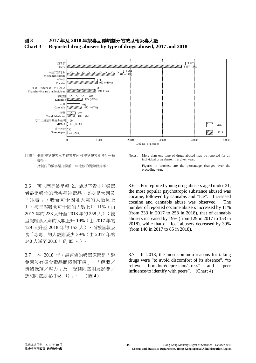### 圖 **3 2017** 年及 **2018** 年按毒品種類劃分的被呈報吸毒人數 **Chart 3 Reported drug abusers by type of drugs abused, 2017 and 2018**



註釋: 個別被呈報吸毒者在某年內可被呈報吸食多於一種 毒品。

3.6 可卡因是被呈報 21 歲以下青少年吸毒 者最常吸食的危害精神毒品,其次是大麻及 「冰毒」。吸食可卡因及大麻的人數見上 升。被呈報吸食可卡因的人數上升 11%(由 2017年的 233 人升至 2018年的 258 人); 被 呈報吸食大麻的人數上升 19%(由 2017 年的 129 人升至 2018 年的 153 人),而被呈報吸 食「冰毒」的人數則減少 39%(由 2017 年的 140 人減至 2018 年的 85 人)。

3.7 在 2018年,最普遍的吸毒原因是「避 免因沒有吸食毒品而感到不適」、「解悶/ 情緒低落/壓力」及「受到同輩朋友影響/ 想和同輩朋友打成一片」。 (圖 4)

Notes : More than one type of drugs abused may be reported for an individual drug abuser in a given year.

括號內的數字是指與前一年比較的變動百分率。 Figures in brackets are the percentage changes over the preceding year.

> 3.6 For reported young drug abusers aged under 21, the most popular psychotropic substance abused was cocaine, followed by cannabis and "Ice". Increased cocaine and cannabis abuse was observed. The number of reported cocaine abusers increased by 11% (from 233 in 2017 to 258 in 2018), that of cannabis abusers increased by 19% (from 129 in 2017 to 153 in 2018), while that of "Ice" abusers decreased by 39% (from 140 in 2017 to 85 in 2018).

> 3.7 In 2018, the most common reasons for taking drugs were "to avoid discomfort of its absence", "to relieve boredom/depression/stress" and "peer influence/to identify with peers". (Chart 4)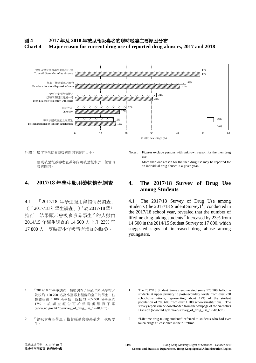### 圖 **4 2017** 年及 **2018** 年被呈報吸毒者的現時吸毒主要原因分布 **Chart 4 Major reason for current drug use of reported drug abusers, 2017 and 2018**



個別被呈報吸毒者在某年內可被呈報多於一個當時 吸毒原因。

4.1 「2017/18 年學生服用藥物情況調查」 (「2017/18 年學生調查」)<sup>1</sup>於 2017/18 學年 進行,結果顯示曾吸食毒品學生<sup>2</sup>的人數由 2014/15 年學生調查的 14 500 人上升 23% 至 17 800 人,反映青少年吸毒有增加的跡象。

註釋: 數字不包括當時吸毒原因不詳的人士。 <br>Notes: Figures exclude persons with unknown reason for the then drug use.

> More than one reason for the then drug use may be reported for an individual drug abuser in a given year.

### **4. 2017/18** 年學生服用藥物情況調查 **4. The 2017/18 Survey of Drug Use among Students**

4.1 The 2017/18 Survey of Drug Use among Students (the  $2017/18$  Student Survey)<sup>1</sup>, conducted in the 2017/18 school year, revealed that the number of lifetime drug-taking students<sup>2</sup> increased by  $23\%$  from 14 500 in the 2014/15 Student Survey to 17 800, which suggested signs of increased drug abuse among youngsters.

2 "Lifetime drug-taking students" referred to students who had ever taken drugs at least once in their lifetime.

<sup>1</sup> 「2017/18 年學生調查」抽樣調查了超過 230 所學校/ 院校約 120 700 名高小至專上程度的全日制學生,佔 整體超過 1 100 所學校/院校的 705 600 名學生約 17% 。該調查報告可於禁毒處網頁下載 (www.nd.gov.hk/tc/survey\_of\_drug\_use\_17-18.htm)。

<sup>2</sup> 「曾吸食毒品學生」指曾經吸食毒品最少一次的學 生。

<sup>1</sup> The 2017/18 Student Survey enumerated some 120 700 full-time students at upper primary to post-secondary levels from over 230 schools/institutions, representing about 17% of the student population of 705 600 from over 1 100 schools/institutions. The survey report can be downloaded from the webpage of the Narcotics Division (www.nd.gov.hk/en/survey\_of\_drug\_use\_17-18.htm).